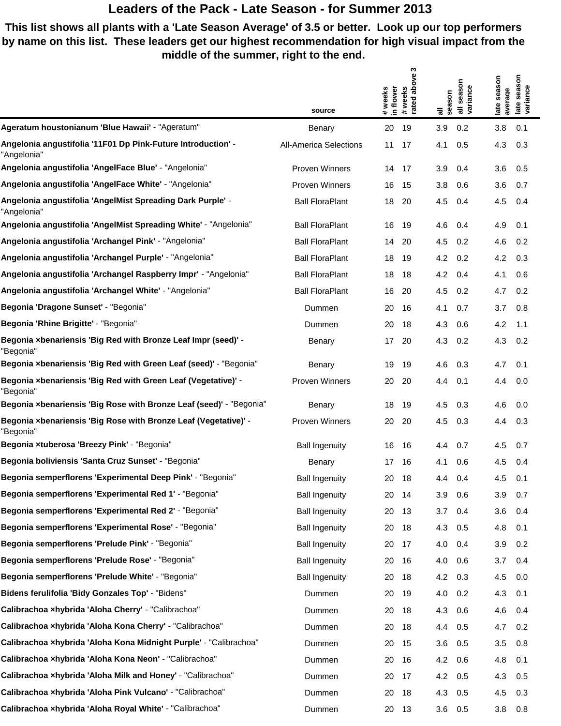**This list shows all plants with a 'Late Season Average' of 3.5 or better. Look up our top performers by name on this list. These leaders get our highest recommendation for high visual impact from the middle of the summer, right to the end.**

 $\mathfrak{g}$ 

|                                                                              |                                         | ო                                                 |                              |                                                              |
|------------------------------------------------------------------------------|-----------------------------------------|---------------------------------------------------|------------------------------|--------------------------------------------------------------|
|                                                                              |                                         | above<br># weeks<br># weeks<br>in flower<br>rated | season<br>variance<br>season | season<br>season<br>late seas<br>variance<br>average<br>late |
| Ageratum houstonianum 'Blue Hawaii' - "Ageratum"                             | source                                  | 20<br>19                                          | 등<br>3.9<br>0.2              | 3.8<br>0.1                                                   |
| Angelonia angustifolia '11F01 Dp Pink-Future Introduction' -<br>"Angelonia"  | Benary<br><b>All-America Selections</b> | 11<br>17                                          | 0.5<br>4.1                   | 4.3<br>0.3                                                   |
| Angelonia angustifolia 'AngelFace Blue' - "Angelonia"                        | <b>Proven Winners</b>                   | 14<br>17                                          | 3.9<br>0.4                   | 3.6<br>0.5                                                   |
| Angelonia angustifolia 'AngelFace White' - "Angelonia"                       | Proven Winners                          | 16<br>15                                          | 3.8<br>0.6                   | 3.6<br>0.7                                                   |
| Angelonia angustifolia 'AngelMist Spreading Dark Purple' -<br>"Angelonia"    | <b>Ball FloraPlant</b>                  | 18<br>20                                          | 4.5<br>0.4                   | 4.5<br>0.4                                                   |
| Angelonia angustifolia 'AngelMist Spreading White' - "Angelonia"             | <b>Ball FloraPlant</b>                  | 16<br>19                                          | 4.6<br>0.4                   | 4.9<br>0.1                                                   |
| Angelonia angustifolia 'Archangel Pink' - "Angelonia"                        | <b>Ball FloraPlant</b>                  | 14<br>-20                                         | 4.5<br>0.2                   | 4.6<br>0.2                                                   |
| Angelonia angustifolia 'Archangel Purple' - "Angelonia"                      | <b>Ball FloraPlant</b>                  | 18<br>19                                          | 4.2<br>0.2                   | 4.2<br>0.3                                                   |
| Angelonia angustifolia 'Archangel Raspberry Impr' - "Angelonia"              | <b>Ball FloraPlant</b>                  | 18<br>18                                          | 4.2<br>0.4                   | 4.1<br>0.6                                                   |
| Angelonia angustifolia 'Archangel White' - "Angelonia"                       | <b>Ball FloraPlant</b>                  | 16<br>-20                                         | 4.5<br>0.2                   | 4.7<br>0.2                                                   |
| Begonia 'Dragone Sunset' - "Begonia"                                         | Dummen                                  | 20<br>16                                          | 4.1<br>0.7                   | 3.7<br>0.8                                                   |
| Begonia 'Rhine Brigitte' - "Begonia"                                         | Dummen                                  | 20<br>18                                          | 4.3<br>0.6                   | 4.2<br>1.1                                                   |
| Begonia xbenariensis 'Big Red with Bronze Leaf Impr (seed)' -<br>"Begonia"   | Benary                                  | 17<br>20                                          | 4.3<br>0.2                   | 4.3<br>0.2                                                   |
| Begonia xbenariensis 'Big Red with Green Leaf (seed)' - "Begonia"            | Benary                                  | 19<br>19                                          | 4.6<br>0.3                   | 4.7<br>0.1                                                   |
| Begonia xbenariensis 'Big Red with Green Leaf (Vegetative)' -<br>"Begonia"   | Proven Winners                          | 20<br>-20                                         | 0.1<br>4.4                   | 4.4<br>0.0                                                   |
| Begonia xbenariensis 'Big Rose with Bronze Leaf (seed)' - "Begonia"          | Benary                                  | 18<br>19                                          | 4.5<br>0.3                   | 4.6<br>0.0                                                   |
| Begonia xbenariensis 'Big Rose with Bronze Leaf (Vegetative)' -<br>"Begonia" | <b>Proven Winners</b>                   | 20<br>20                                          | 4.5<br>0.3                   | 4.4<br>0.3                                                   |
| Begonia xtuberosa 'Breezy Pink' - "Begonia"                                  | <b>Ball Ingenuity</b>                   | 16<br>16                                          | 0.7<br>4.4                   | 4.5<br>0.7                                                   |
| Begonia boliviensis 'Santa Cruz Sunset' - "Begonia"                          | Benary                                  | 17<br>16                                          | 0.6<br>4.1                   | 4.5<br>0.4                                                   |
| Begonia semperflorens 'Experimental Deep Pink' - "Begonia"                   | <b>Ball Ingenuity</b>                   | 20<br>18                                          | 4.4<br>0.4                   | 4.5<br>0.1                                                   |
| Begonia semperflorens 'Experimental Red 1' - "Begonia"                       | <b>Ball Ingenuity</b>                   | 20<br>- 14                                        | 3.9<br>0.6                   | 3.9<br>0.7                                                   |
| Begonia semperflorens 'Experimental Red 2' - "Begonia"                       | <b>Ball Ingenuity</b>                   | 20<br>- 13                                        | 3.7<br>0.4                   | 3.6<br>0.4                                                   |
| Begonia semperflorens 'Experimental Rose' - "Begonia"                        | <b>Ball Ingenuity</b>                   | 20<br>- 18                                        | 4.3<br>0.5                   | 4.8<br>0.1                                                   |
| Begonia semperflorens 'Prelude Pink' - "Begonia"                             | <b>Ball Ingenuity</b>                   | 20 17                                             | 4.0<br>0.4                   | 0.2<br>3.9                                                   |
| Begonia semperflorens 'Prelude Rose' - "Begonia"                             | <b>Ball Ingenuity</b>                   | 20<br>-16                                         | 4.0<br>0.6                   | 3.7<br>0.4                                                   |
| Begonia semperflorens 'Prelude White' - "Begonia"                            | <b>Ball Ingenuity</b>                   | 20<br>- 18                                        | $4.2\quad 0.3$               | 0.0<br>4.5                                                   |
| Bidens ferulifolia 'Bidy Gonzales Top' - "Bidens"                            | Dummen                                  | 20<br>19                                          | 4.0<br>0.2                   | 4.3<br>0.1                                                   |
| Calibrachoa xhybrida 'Aloha Cherry' - "Calibrachoa"                          | Dummen                                  | 20<br>-18                                         | 4.3<br>0.6                   | 4.6<br>0.4                                                   |
| Calibrachoa xhybrida 'Aloha Kona Cherry' - "Calibrachoa"                     | Dummen                                  | 20<br>18                                          | 0.5<br>4.4                   | 0.2<br>4.7                                                   |
| Calibrachoa xhybrida 'Aloha Kona Midnight Purple' - "Calibrachoa"            | Dummen                                  | 20<br>15                                          | 3.6<br>0.5                   | 3.5<br>0.8                                                   |
| Calibrachoa xhybrida 'Aloha Kona Neon' - "Calibrachoa"                       | Dummen                                  | 20<br>16                                          | 4.2<br>0.6                   | 4.8<br>0.1                                                   |
| Calibrachoa xhybrida 'Aloha Milk and Honey' - "Calibrachoa"                  | Dummen                                  | 20<br>- 17                                        | 4.2<br>0.5                   | 0.5<br>4.3                                                   |
| Calibrachoa xhybrida 'Aloha Pink Vulcano' - "Calibrachoa"                    | Dummen                                  | 20<br>18                                          | 4.3<br>0.5                   | 0.3<br>4.5                                                   |
| Calibrachoa xhybrida 'Aloha Royal White' - "Calibrachoa"                     | Dummen                                  | 20 13                                             | 3.6<br>0.5                   | 3.8<br>0.8                                                   |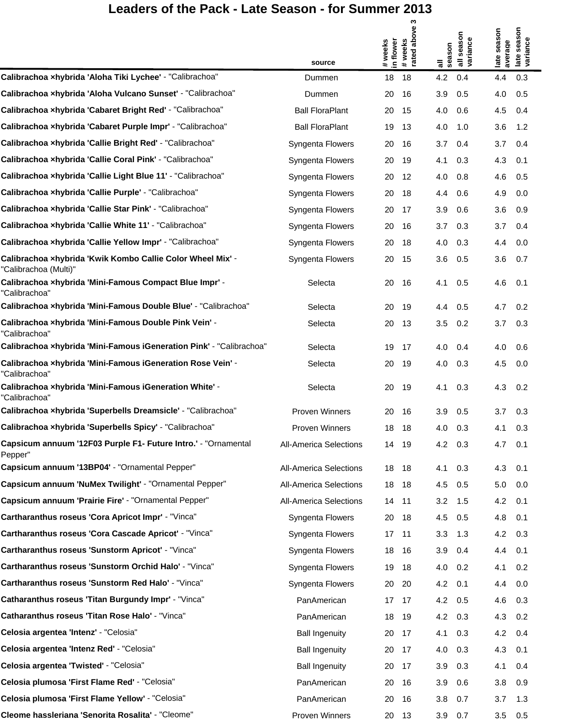$\mathfrak{m}$ 

|                                                                                     |                               |                      | ო                             |          |                        |                        |                                 |  |
|-------------------------------------------------------------------------------------|-------------------------------|----------------------|-------------------------------|----------|------------------------|------------------------|---------------------------------|--|
|                                                                                     |                               | # weeks<br>in flower | above<br># weeks<br>rated abo | season   | all season<br>variance | late season<br>average | season<br>late seas<br>variance |  |
| Calibrachoa xhybrida 'Aloha Tiki Lychee' - "Calibrachoa"                            | source<br>Dummen              | 18                   | 18                            | 등<br>4.2 | 0.4                    | 4.4                    | 0.3                             |  |
| Calibrachoa xhybrida 'Aloha Vulcano Sunset' - "Calibrachoa"                         | Dummen                        | 20                   | 16                            | 3.9      | 0.5                    | 4.0                    | 0.5                             |  |
| Calibrachoa xhybrida 'Cabaret Bright Red' - "Calibrachoa"                           | <b>Ball FloraPlant</b>        | 20                   | 15                            | 4.0      | 0.6                    | 4.5                    | 0.4                             |  |
| Calibrachoa xhybrida 'Cabaret Purple Impr' - "Calibrachoa"                          | <b>Ball FloraPlant</b>        | 19                   | -13                           | 4.0      | 1.0                    | 3.6                    | 1.2                             |  |
| Calibrachoa xhybrida 'Callie Bright Red' - "Calibrachoa"                            | Syngenta Flowers              | 20                   | 16                            | 3.7      | 0.4                    | 3.7                    | 0.4                             |  |
| Calibrachoa xhybrida 'Callie Coral Pink' - "Calibrachoa"                            | Syngenta Flowers              | 20                   | 19                            | 4.1      | 0.3                    | 4.3                    | 0.1                             |  |
| Calibrachoa xhybrida 'Callie Light Blue 11' - "Calibrachoa"                         | Syngenta Flowers              | 20                   | -12                           | 4.0      | 0.8                    | 4.6                    | 0.5                             |  |
| Calibrachoa xhybrida 'Callie Purple' - "Calibrachoa"                                | Syngenta Flowers              | 20                   | 18                            | 4.4      | 0.6                    | 4.9                    | 0.0                             |  |
| Calibrachoa xhybrida 'Callie Star Pink' - "Calibrachoa"                             | Syngenta Flowers              | 20                   | 17                            | 3.9      | 0.6                    | 3.6                    | 0.9                             |  |
| Calibrachoa xhybrida 'Callie White 11' - "Calibrachoa"                              | Syngenta Flowers              | 20                   | 16                            | 3.7      | 0.3                    | 3.7                    | 0.4                             |  |
| Calibrachoa xhybrida 'Callie Yellow Impr' - "Calibrachoa"                           | Syngenta Flowers              | 20                   | 18                            | 4.0      | 0.3                    | 4.4                    | 0.0                             |  |
| Calibrachoa xhybrida 'Kwik Kombo Callie Color Wheel Mix' -<br>"Calibrachoa (Multi)" | Syngenta Flowers              | 20                   | 15                            | 3.6      | 0.5                    | 3.6                    | 0.7                             |  |
| Calibrachoa xhybrida 'Mini-Famous Compact Blue Impr' -<br>"Calibrachoa"             | Selecta                       | 20                   | 16                            | 4.1      | 0.5                    | 4.6                    | 0.1                             |  |
| Calibrachoa xhybrida 'Mini-Famous Double Blue' - "Calibrachoa"                      | Selecta                       | 20                   | 19                            | 4.4      | 0.5                    | 4.7                    | 0.2                             |  |
| Calibrachoa xhybrida 'Mini-Famous Double Pink Vein' -<br>"Calibrachoa"              | Selecta                       | 20                   | -13                           | 3.5      | 0.2                    | 3.7                    | 0.3                             |  |
| Calibrachoa xhybrida 'Mini-Famous iGeneration Pink' - "Calibrachoa"                 | Selecta                       | 19                   | 17                            | 4.0      | 0.4                    | 4.0                    | 0.6                             |  |
| Calibrachoa ×hybrida 'Mini-Famous iGeneration Rose Vein' -<br>"Calibrachoa"         | Selecta                       | 20                   | 19                            | 4.0      | 0.3                    | 4.5                    | 0.0                             |  |
| Calibrachoa xhybrida 'Mini-Famous iGeneration White' -<br>"Calibrachoa"             | Selecta                       | 20                   | 19                            | 4.1      | 0.3                    | 4.3                    | 0.2                             |  |
| Calibrachoa xhybrida 'Superbells Dreamsicle' - "Calibrachoa"                        | <b>Proven Winners</b>         | 20                   | -16                           | 3.9      | 0.5                    | 3.7                    | 0.3                             |  |
| Calibrachoa xhybrida 'Superbells Spicy' - "Calibrachoa"                             | <b>Proven Winners</b>         | 18                   | 18                            | 4.0      | 0.3                    | 4.1                    | 0.3                             |  |
| Capsicum annuum '12F03 Purple F1- Future Intro.' - "Ornamental<br>Pepper"           | <b>All-America Selections</b> | 14 19                |                               | 4.2      | 0.3                    | 4.7                    | 0.1                             |  |
| Capsicum annuum '13BP04' - "Ornamental Pepper"                                      | <b>All-America Selections</b> | 18                   | - 18                          | 4.1      | 0.3                    | 4.3                    | 0.1                             |  |
| Capsicum annuum 'NuMex Twilight' - "Ornamental Pepper"                              | <b>All-America Selections</b> | 18                   | - 18                          | 4.5      | 0.5                    | 5.0                    | 0.0                             |  |
| Capsicum annuum 'Prairie Fire' - "Ornamental Pepper"                                | <b>All-America Selections</b> | 14<br>$-11$          |                               | 3.2      | 1.5                    | 4.2                    | 0.1                             |  |
| Cartharanthus roseus 'Cora Apricot Impr' - "Vinca"                                  | Syngenta Flowers              | 20                   | - 18                          | 4.5      | 0.5                    | 4.8                    | 0.1                             |  |
| Cartharanthus roseus 'Cora Cascade Apricot' - "Vinca"                               | Syngenta Flowers              | 17<br>11             |                               | 3.3      | 1.3                    | 4.2                    | 0.3                             |  |
| Cartharanthus roseus 'Sunstorm Apricot' - "Vinca"                                   | Syngenta Flowers              | 18                   | - 16                          | 3.9      | 0.4                    | 4.4                    | 0.1                             |  |
| Cartharanthus roseus 'Sunstorm Orchid Halo' - "Vinca"                               | Syngenta Flowers              | 19                   | 18                            | 4.0      | 0.2                    | 4.1                    | 0.2                             |  |
| Cartharanthus roseus 'Sunstorm Red Halo' - "Vinca"                                  | Syngenta Flowers              | 20                   | 20                            | 4.2      | 0.1                    | 4.4                    | 0.0                             |  |
| Catharanthus roseus 'Titan Burgundy Impr' - "Vinca"                                 | PanAmerican                   | 17                   | - 17                          | 4.2      | 0.5                    | 4.6                    | 0.3                             |  |
| Catharanthus roseus 'Titan Rose Halo' - "Vinca"                                     | PanAmerican                   | 18                   | - 19                          | 4.2      | 0.3                    | 4.3                    | 0.2                             |  |
| Celosia argentea 'Intenz' - "Celosia"                                               | <b>Ball Ingenuity</b>         | 20                   | 17                            | 4.1      | 0.3                    | 4.2                    | 0.4                             |  |
| Celosia argentea 'Intenz Red' - "Celosia"                                           | <b>Ball Ingenuity</b>         | 20                   | -17                           | 4.0      | 0.3                    | 4.3                    | 0.1                             |  |
| Celosia argentea 'Twisted' - "Celosia"                                              | <b>Ball Ingenuity</b>         | 20                   | 17                            | 3.9      | 0.3                    | 4.1                    | 0.4                             |  |
| Celosia plumosa 'First Flame Red' - "Celosia"                                       | PanAmerican                   | 20                   | -16                           | 3.9      | 0.6                    | 3.8                    | 0.9                             |  |
| Celosia plumosa 'First Flame Yellow' - "Celosia"                                    | PanAmerican                   | 20                   | 16                            | 3.8      | 0.7                    | 3.7                    | 1.3                             |  |
| Cleome hassleriana 'Senorita Rosalita' - "Cleome"                                   | Proven Winners                | 20 13                |                               | 3.9      | 0.7                    | 3.5                    | 0.5                             |  |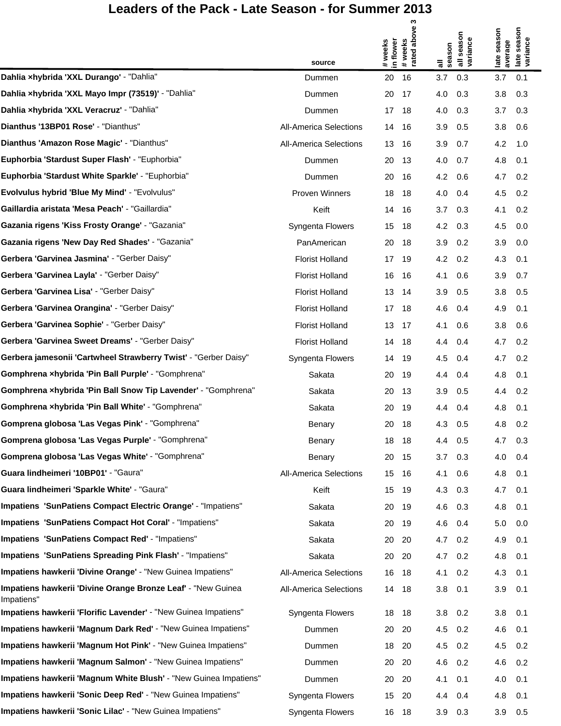|                                                                            |                               | S                                      |                        |                                                   |
|----------------------------------------------------------------------------|-------------------------------|----------------------------------------|------------------------|---------------------------------------------------|
|                                                                            |                               | above<br>in flower<br>weeks<br># weeks | all season<br>variance | late season<br>variance<br>late season<br>average |
|                                                                            | source                        | # wee<br>rated                         | season<br>゠            |                                                   |
| Dahlia xhybrida 'XXL Durango' - "Dahlia"                                   | Dummen                        | 16<br>20                               | 3.7<br>0.3             | 3.7<br>0.1                                        |
| Dahlia xhybrida 'XXL Mayo Impr (73519)' - "Dahlia"                         | Dummen                        | 20<br>17                               | 4.0<br>0.3             | 3.8<br>0.3                                        |
| Dahlia xhybrida 'XXL Veracruz' - "Dahlia"                                  | Dummen                        | 17<br>18                               | 4.0<br>0.3             | 3.7<br>0.3                                        |
| Dianthus '13BP01 Rose' - "Dianthus"                                        | <b>All-America Selections</b> | 14<br>16                               | 3.9<br>0.5             | 3.8<br>0.6                                        |
| Dianthus 'Amazon Rose Magic' - "Dianthus"                                  | <b>All-America Selections</b> | 13<br>16                               | 0.7<br>3.9             | 4.2<br>1.0                                        |
| Euphorbia 'Stardust Super Flash' - "Euphorbia"                             | Dummen                        | 20<br>13                               | 4.0<br>0.7             | 4.8<br>0.1                                        |
| <b>Euphorbia 'Stardust White Sparkle' - "Euphorbia"</b>                    | Dummen                        | 20<br>16                               | 4.2<br>0.6             | 4.7<br>0.2                                        |
| Evolvulus hybrid 'Blue My Mind' - "Evolvulus"                              | Proven Winners                | 18<br>18                               | 4.0<br>0.4             | 4.5<br>0.2                                        |
| Gaillardia aristata 'Mesa Peach' - "Gaillardia"                            | Keift                         | 14<br>16                               | 3.7<br>0.3             | 4.1<br>0.2                                        |
| Gazania rigens 'Kiss Frosty Orange' - "Gazania"                            | Syngenta Flowers              | 15<br>18                               | 4.2<br>0.3             | 4.5<br>0.0                                        |
| Gazania rigens 'New Day Red Shades' - "Gazania"                            | PanAmerican                   | 20<br>18                               | 0.2<br>3.9             | 3.9<br>0.0                                        |
| Gerbera 'Garvinea Jasmina' - "Gerber Daisy"                                | <b>Florist Holland</b>        | 17<br>19                               | 4.2<br>0.2             | 4.3<br>0.1                                        |
| Gerbera 'Garvinea Layla' - "Gerber Daisy"                                  | <b>Florist Holland</b>        | 16<br>16                               | 4.1<br>0.6             | 3.9<br>0.7                                        |
| Gerbera 'Garvinea Lisa' - "Gerber Daisy"                                   | <b>Florist Holland</b>        | 13<br>14                               | 3.9<br>0.5             | 3.8<br>0.5                                        |
| Gerbera 'Garvinea Orangina' - "Gerber Daisy"                               | <b>Florist Holland</b>        | 17<br>18                               | 4.6<br>0.4             | 4.9<br>0.1                                        |
| Gerbera 'Garvinea Sophie' - "Gerber Daisy"                                 | <b>Florist Holland</b>        | 13<br>17                               | 4.1<br>0.6             | 3.8<br>0.6                                        |
| Gerbera 'Garvinea Sweet Dreams' - "Gerber Daisy"                           | <b>Florist Holland</b>        | 14<br>18                               | 4.4<br>0.4             | 4.7<br>0.2                                        |
| Gerbera jamesonii 'Cartwheel Strawberry Twist' - "Gerber Daisy"            | Syngenta Flowers              | 14<br>19                               | 4.5<br>0.4             | 4.7<br>0.2                                        |
| Gomphrena xhybrida 'Pin Ball Purple' - "Gomphrena"                         | Sakata                        | 20<br>19                               | 4.4<br>0.4             | 4.8<br>0.1                                        |
| Gomphrena xhybrida 'Pin Ball Snow Tip Lavender' - "Gomphrena"              | Sakata                        | 20<br>13                               | 3.9<br>0.5             | 0.2<br>4.4                                        |
| Gomphrena xhybrida 'Pin Ball White' - "Gomphrena"                          | Sakata                        | 20<br>19                               | 0.4<br>4.4             | 4.8<br>0.1                                        |
| Gomprena globosa 'Las Vegas Pink' - "Gomphrena"                            | Benary                        | 20<br>18                               | 4.3<br>0.5             | 4.8<br>0.2                                        |
| Gomprena globosa 'Las Vegas Purple' - "Gomphrena"                          | Benary                        | 18<br>18                               | 0.5<br>4.4             | 4.7<br>0.3                                        |
| Gomprena globosa 'Las Vegas White' - "Gomphrena"                           | Benary                        | 20<br>15                               | 3.7<br>0.3             | 4.0<br>0.4                                        |
| Guara lindheimeri '10BP01' - "Gaura"                                       | <b>All-America Selections</b> | 15<br>16                               | 4.1<br>0.6             | 4.8<br>0.1                                        |
| Guara lindheimeri 'Sparkle White' - "Gaura"                                | Keift                         | 15<br>19                               | 4.3<br>0.3             | 4.7<br>0.1                                        |
| Impatiens 'SunPatiens Compact Electric Orange' - "Impatiens"               | Sakata                        | 20<br>19                               | 4.6<br>0.3             | 4.8<br>0.1                                        |
| Impatiens 'SunPatiens Compact Hot Coral' - "Impatiens"                     | Sakata                        | 20<br>19                               | 4.6<br>0.4             | 5.0<br>0.0                                        |
| Impatiens 'SunPatiens Compact Red' - "Impatiens"                           | Sakata                        | 20<br>20                               | 4.7<br>0.2             | 4.9<br>0.1                                        |
| Impatiens 'SunPatiens Spreading Pink Flash' - "Impatiens"                  | Sakata                        | 20<br>20                               | 4.7<br>0.2             | 4.8<br>0.1                                        |
| Impatiens hawkerii 'Divine Orange' - "New Guinea Impatiens"                | <b>All-America Selections</b> | 16<br>18                               | 4.1<br>0.2             | 4.3<br>0.1                                        |
| Impatiens hawkerii 'Divine Orange Bronze Leaf' - "New Guinea<br>Impatiens" | <b>All-America Selections</b> | 14<br>18                               | 3.8<br>0.1             | 3.9<br>0.1                                        |
| Impatiens hawkerii 'Florific Lavender' - "New Guinea Impatiens"            | Syngenta Flowers              | 18<br>18                               | 0.2<br>3.8             | 3.8<br>0.1                                        |
| Impatiens hawkerii 'Magnum Dark Red' - "New Guinea Impatiens"              | Dummen                        | 20<br>20                               | 4.5<br>0.2             | 4.6<br>0.1                                        |
| Impatiens hawkerii 'Magnum Hot Pink' - "New Guinea Impatiens"              | Dummen                        | 18<br>20                               | 4.5<br>0.2             | 4.5<br>0.2                                        |
| Impatiens hawkerii 'Magnum Salmon' - "New Guinea Impatiens"                | Dummen                        | 20<br>20                               | 4.6<br>0.2             | 4.6<br>0.2                                        |
| Impatiens hawkerii 'Magnum White Blush' - "New Guinea Impatiens"           | Dummen                        | 20<br>20                               | 4.1<br>0.1             | 4.0<br>0.1                                        |
| Impatiens hawkerii 'Sonic Deep Red' - "New Guinea Impatiens"               | Syngenta Flowers              | 15<br>20                               | 4.4<br>0.4             | 4.8<br>0.1                                        |
| Impatiens hawkerii 'Sonic Lilac' - "New Guinea Impatiens"                  | Syngenta Flowers              | 16 18                                  | 3.9<br>0.3             | 3.9<br>0.5                                        |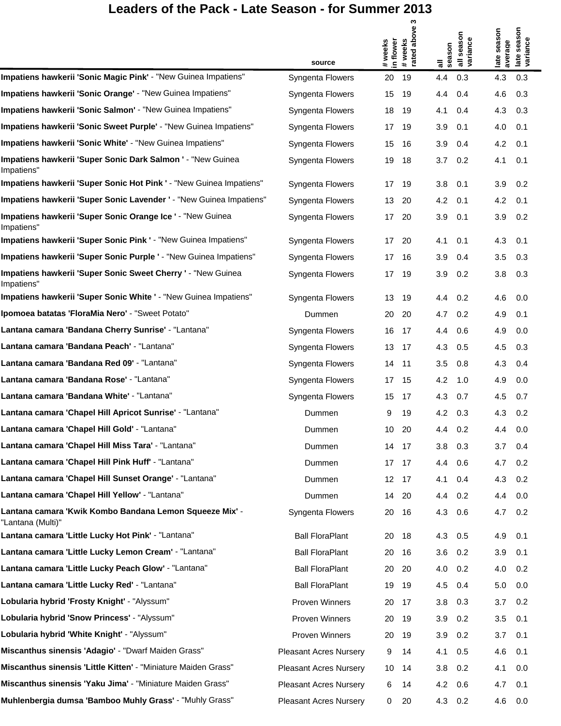|                                                                              |                               | ω                                              |                                  |                                                   |
|------------------------------------------------------------------------------|-------------------------------|------------------------------------------------|----------------------------------|---------------------------------------------------|
|                                                                              |                               | # weeks<br>rated above 3<br>in flower<br>weeks | all season<br>variance<br>season | late season<br>variance<br>late season<br>average |
|                                                                              | source                        | #                                              | ᠊                                |                                                   |
| Impatiens hawkerii 'Sonic Magic Pink' - "New Guinea Impatiens"               | <b>Syngenta Flowers</b>       | 20<br>19                                       | 0.3<br>4.4                       | 4.3<br>0.3                                        |
| Impatiens hawkerii 'Sonic Orange' - "New Guinea Impatiens"                   | Syngenta Flowers              | 15<br>19                                       | 0.4<br>4.4                       | 0.3<br>4.6                                        |
| Impatiens hawkerii 'Sonic Salmon' - "New Guinea Impatiens"                   | Syngenta Flowers              | 18<br>19                                       | 4.1<br>0.4                       | 0.3<br>4.3                                        |
| Impatiens hawkerii 'Sonic Sweet Purple' - "New Guinea Impatiens"             | Syngenta Flowers              | 19<br>17                                       | 3.9<br>0.1                       | 4.0<br>0.1                                        |
| Impatiens hawkerii 'Sonic White' - "New Guinea Impatiens"                    | Syngenta Flowers              | 15<br>-16                                      | 3.9<br>0.4                       | 4.2<br>0.1                                        |
| Impatiens hawkerii 'Super Sonic Dark Salmon ' - "New Guinea<br>Impatiens"    | Syngenta Flowers              | 19<br>18                                       | 0.2<br>3.7                       | 4.1<br>0.1                                        |
| Impatiens hawkerii 'Super Sonic Hot Pink ' - "New Guinea Impatiens"          | Syngenta Flowers              | 17<br>-19                                      | 3.8<br>0.1                       | 0.2<br>3.9                                        |
| Impatiens hawkerii 'Super Sonic Lavender ' - "New Guinea Impatiens"          | Syngenta Flowers              | 13<br>-20                                      | 4.2<br>0.1                       | 4.2<br>0.1                                        |
| Impatiens hawkerii 'Super Sonic Orange Ice ' - "New Guinea<br>Impatiens"     | Syngenta Flowers              | 17<br>20                                       | 3.9<br>0.1                       | 3.9<br>0.2                                        |
| Impatiens hawkerii 'Super Sonic Pink ' - "New Guinea Impatiens"              | Syngenta Flowers              | 17<br>20                                       | 4.1<br>0.1                       | 4.3<br>0.1                                        |
| Impatiens hawkerii 'Super Sonic Purple ' - "New Guinea Impatiens"            | Syngenta Flowers              | 17<br>-16                                      | 3.9<br>0.4                       | 3.5<br>0.3                                        |
| Impatiens hawkerii 'Super Sonic Sweet Cherry ' - "New Guinea<br>Impatiens"   | Syngenta Flowers              | 17<br>-19                                      | 3.9<br>0.2                       | 3.8<br>0.3                                        |
| Impatiens hawkerii 'Super Sonic White ' - "New Guinea Impatiens"             | Syngenta Flowers              | 13<br>19                                       | 0.2<br>4.4                       | 4.6<br>0.0                                        |
| Ipomoea batatas 'FloraMia Nero' - "Sweet Potato"                             | Dummen                        | 20<br>20                                       | 4.7<br>0.2                       | 4.9<br>0.1                                        |
| Lantana camara 'Bandana Cherry Sunrise' - "Lantana"                          | Syngenta Flowers              | 16<br>17                                       | 0.6<br>4.4                       | 4.9<br>0.0                                        |
| Lantana camara 'Bandana Peach' - "Lantana"                                   | Syngenta Flowers              | 13<br>17                                       | 4.3<br>0.5                       | 0.3<br>4.5                                        |
| Lantana camara 'Bandana Red 09' - "Lantana"                                  | Syngenta Flowers              | 14<br>-11                                      | 3.5<br>0.8                       | 4.3<br>0.4                                        |
| Lantana camara 'Bandana Rose' - "Lantana"                                    | Syngenta Flowers              | 17<br>15                                       | 4.2<br>1.0                       | 4.9<br>0.0                                        |
| Lantana camara 'Bandana White' - "Lantana"                                   | Syngenta Flowers              | 15<br>17                                       | 4.3<br>0.7                       | 4.5<br>0.7                                        |
| Lantana camara 'Chapel Hill Apricot Sunrise' - "Lantana"                     | Dummen                        | 9<br>19                                        | 4.2<br>0.3                       | 4.3<br>0.2                                        |
| Lantana camara 'Chapel Hill Gold' - "Lantana"                                | Dummen                        | 10<br>20                                       | 0.2<br>4.4                       | 0.0<br>4.4                                        |
| Lantana camara 'Chapel Hill Miss Tara' - "Lantana"                           | Dummen                        | 14<br>-17                                      | 3.8<br>0.3                       | 0.4<br>3.7                                        |
| Lantana camara 'Chapel Hill Pink Huff' - "Lantana"                           | Dummen                        | 17<br>- 17                                     | 0.6<br>4.4                       | 0.2<br>4.7                                        |
| Lantana camara 'Chapel Hill Sunset Orange' - "Lantana"                       | Dummen                        | 12<br>- 17                                     | 4.1<br>0.4                       | 0.2<br>4.3                                        |
| Lantana camara 'Chapel Hill Yellow' - "Lantana"                              | Dummen                        | 14<br>-20                                      | 4.4<br>0.2                       | 0.0<br>4.4                                        |
| Lantana camara 'Kwik Kombo Bandana Lemon Squeeze Mix' -<br>"Lantana (Multi)" | Syngenta Flowers              | 20<br>- 16                                     | 4.3<br>0.6                       | 0.2<br>4.7                                        |
| Lantana camara 'Little Lucky Hot Pink' - "Lantana"                           | <b>Ball FloraPlant</b>        | -18<br>20                                      | 4.3 0.5                          | 4.9<br>0.1                                        |
| Lantana camara 'Little Lucky Lemon Cream' - "Lantana"                        | <b>Ball FloraPlant</b>        | -16<br>20                                      | 3.6<br>0.2                       | 3.9<br>0.1                                        |
| Lantana camara 'Little Lucky Peach Glow' - "Lantana"                         | <b>Ball FloraPlant</b>        | 20<br>- 20                                     | 4.0<br>0.2                       | 4.0<br>0.2                                        |
| Lantana camara 'Little Lucky Red' - "Lantana"                                | <b>Ball FloraPlant</b>        | 19<br>-19                                      | 4.5<br>0.4                       | 0.0<br>5.0                                        |
| Lobularia hybrid 'Frosty Knight' - "Alyssum"                                 | Proven Winners                | 20<br>- 17                                     | 3.8<br>0.3                       | 3.7<br>0.2                                        |
| Lobularia hybrid 'Snow Princess' - "Alyssum"                                 | Proven Winners                | 20<br>- 19                                     | 3.9<br>0.2                       | 3.5<br>0.1                                        |
| Lobularia hybrid 'White Knight' - "Alyssum"                                  | Proven Winners                | 20<br>- 19                                     | 3.9<br>0.2                       | 3.7<br>0.1                                        |
| Miscanthus sinensis 'Adagio' - "Dwarf Maiden Grass"                          | <b>Pleasant Acres Nursery</b> | 9<br>14                                        | 4.1<br>0.5                       | 4.6<br>0.1                                        |
| Miscanthus sinensis 'Little Kitten' - "Miniature Maiden Grass"               | <b>Pleasant Acres Nursery</b> | 10<br>-14                                      | 3.8<br>0.2                       | 4.1<br>0.0                                        |
| Miscanthus sinensis 'Yaku Jima' - "Miniature Maiden Grass"                   | <b>Pleasant Acres Nursery</b> | 6<br>14                                        | 4.2<br>0.6                       | 4.7<br>0.1                                        |
| Muhlenbergia dumsa 'Bamboo Muhly Grass' - "Muhly Grass"                      | <b>Pleasant Acres Nursery</b> | 0<br>20                                        | 4.3 0.2                          | 4.6<br>0.0                                        |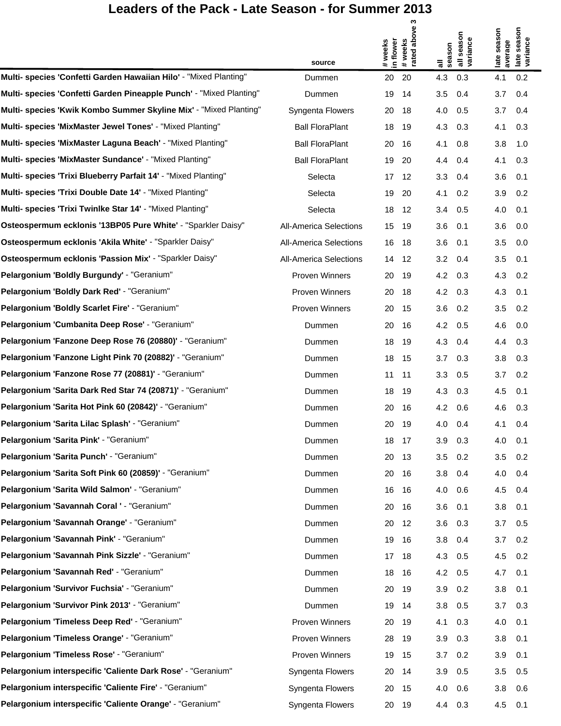$\mathfrak{m}$ 

|                                                                     |                               | ო                                                    |                                                               |                                                   |
|---------------------------------------------------------------------|-------------------------------|------------------------------------------------------|---------------------------------------------------------------|---------------------------------------------------|
|                                                                     | source                        | above<br>in flower<br># weeks<br>weeks<br>rated<br># | all season<br>variance<br>season<br>$\overline{\overline{a}}$ | late season<br>late season<br>variance<br>average |
| Multi- species 'Confetti Garden Hawaiian Hilo' - "Mixed Planting"   | Dummen                        | 20<br>20                                             | 4.3<br>0.3                                                    | 4.1<br>0.2                                        |
| Multi- species 'Confetti Garden Pineapple Punch' - "Mixed Planting" | Dummen                        | 19<br>14                                             | 3.5<br>0.4                                                    | 3.7<br>0.4                                        |
| Multi- species 'Kwik Kombo Summer Skyline Mix' - "Mixed Planting"   | Syngenta Flowers              | 20<br>18                                             | 4.0<br>0.5                                                    | 3.7<br>0.4                                        |
| Multi- species 'MixMaster Jewel Tones' - "Mixed Planting"           | <b>Ball FloraPlant</b>        | 18<br>19                                             | 4.3<br>0.3                                                    | 0.3<br>4.1                                        |
| Multi- species 'MixMaster Laguna Beach' - "Mixed Planting"          | <b>Ball FloraPlant</b>        | 20<br>16                                             | 4.1<br>0.8                                                    | 3.8<br>1.0                                        |
| Multi- species 'MixMaster Sundance' - "Mixed Planting"              | <b>Ball FloraPlant</b>        | 19<br>20                                             | 4.4<br>0.4                                                    | 4.1<br>0.3                                        |
| Multi- species 'Trixi Blueberry Parfait 14' - "Mixed Planting"      | Selecta                       | 17<br>12                                             | 3.3<br>0.4                                                    | 3.6<br>0.1                                        |
| Multi- species 'Trixi Double Date 14' - "Mixed Planting"            | Selecta                       | 19<br>20                                             | 4.1<br>0.2                                                    | 3.9<br>0.2                                        |
| Multi- species 'Trixi Twinlke Star 14' - "Mixed Planting"           | Selecta                       | 18<br>12                                             | 3.4<br>0.5                                                    | 4.0<br>0.1                                        |
| Osteospermum ecklonis '13BP05 Pure White' - "Sparkler Daisy"        | <b>All-America Selections</b> | 15<br>-19                                            | 3.6<br>0.1                                                    | 3.6<br>0.0                                        |
| Osteospermum ecklonis 'Akila White' - "Sparkler Daisy"              | <b>All-America Selections</b> | 16<br>18                                             | 3.6<br>0.1                                                    | 3.5<br>0.0                                        |
| Osteospermum ecklonis 'Passion Mix' - "Sparkler Daisy"              | <b>All-America Selections</b> | 14<br>12                                             | 3.2<br>0.4                                                    | 3.5<br>0.1                                        |
| Pelargonium 'Boldly Burgundy' - "Geranium"                          | Proven Winners                | 20<br>19                                             | 4.2<br>0.3                                                    | 4.3<br>0.2                                        |
| Pelargonium 'Boldly Dark Red' - "Geranium"                          | <b>Proven Winners</b>         | 20<br>18                                             | 4.2<br>0.3                                                    | 4.3<br>0.1                                        |
| Pelargonium 'Boldly Scarlet Fire' - "Geranium"                      | Proven Winners                | 20<br>15                                             | 3.6<br>0.2                                                    | 3.5<br>0.2                                        |
| Pelargonium 'Cumbanita Deep Rose' - "Geranium"                      | Dummen                        | 20<br>16                                             | 4.2<br>0.5                                                    | 4.6<br>0.0                                        |
| Pelargonium 'Fanzone Deep Rose 76 (20880)' - "Geranium"             | Dummen                        | 18<br>19                                             | 4.3<br>0.4                                                    | 0.3<br>4.4                                        |
| Pelargonium 'Fanzone Light Pink 70 (20882)' - "Geranium"            | Dummen                        | 18<br>-15                                            | 3.7<br>0.3                                                    | 3.8<br>0.3                                        |
| Pelargonium 'Fanzone Rose 77 (20881)' - "Geranium"                  | Dummen                        | 11<br>-11                                            | 3.3<br>0.5                                                    | 3.7<br>0.2                                        |
| Pelargonium 'Sarita Dark Red Star 74 (20871)' - "Geranium"          | Dummen                        | 18<br>19                                             | 4.3<br>0.3                                                    | 4.5<br>0.1                                        |
| Pelargonium 'Sarita Hot Pink 60 (20842)' - "Geranium"               | Dummen                        | 20<br>16                                             | 4.2<br>0.6                                                    | 4.6<br>0.3                                        |
| Pelargonium 'Sarita Lilac Splash' - "Geranium"                      | Dummen                        | 20<br>-19                                            | 4.0<br>0.4                                                    | 4.1<br>0.4                                        |
| Pelargonium 'Sarita Pink' - "Geranium"                              | Dummen                        | 18<br>17                                             | 3.9<br>0.3                                                    | 4.0<br>0.1                                        |
| Pelargonium 'Sarita Punch' - "Geranium"                             | Dummen                        | 20<br>-13                                            | 3.5<br>0.2                                                    | 3.5<br>0.2                                        |
| Pelargonium 'Sarita Soft Pink 60 (20859)' - "Geranium"              | Dummen                        | 20<br>- 16                                           | 3.8<br>0.4                                                    | 4.0<br>0.4                                        |
| Pelargonium 'Sarita Wild Salmon' - "Geranium"                       | Dummen                        | 16<br>16                                             | 4.0<br>0.6                                                    | 4.5<br>0.4                                        |
| Pelargonium 'Savannah Coral ' - "Geranium"                          | Dummen                        | 20<br>- 16                                           | 3.6<br>0.1                                                    | 3.8<br>0.1                                        |
| Pelargonium 'Savannah Orange' - "Geranium"                          | Dummen                        | 20<br>12                                             | 3.6<br>0.3                                                    | 3.7<br>0.5                                        |
| Pelargonium 'Savannah Pink' - "Geranium"                            | Dummen                        | 19<br>- 16                                           | 3.8<br>0.4                                                    | 3.7<br>0.2                                        |
| Pelargonium 'Savannah Pink Sizzle' - "Geranium"                     | Dummen                        | 17<br>-18                                            | 4.3<br>0.5                                                    | 4.5<br>0.2                                        |
| Pelargonium 'Savannah Red' - "Geranium"                             | Dummen                        | 18<br>- 16                                           | 4.2<br>0.5                                                    | 4.7<br>0.1                                        |
| Pelargonium 'Survivor Fuchsia' - "Geranium"                         | Dummen                        | 20<br>-19                                            | 3.9<br>0.2                                                    | 3.8<br>0.1                                        |
| Pelargonium 'Survivor Pink 2013' - "Geranium"                       | Dummen                        | 19<br>-14                                            | 3.8<br>0.5                                                    | 3.7<br>0.3                                        |
| Pelargonium 'Timeless Deep Red' - "Geranium"                        | Proven Winners                | 20<br>-19                                            | 4.1<br>0.3                                                    | 0.1<br>4.0                                        |
| Pelargonium 'Timeless Orange' - "Geranium"                          | Proven Winners                | 28<br>-19                                            | 3.9<br>0.3                                                    | 3.8<br>0.1                                        |
| Pelargonium 'Timeless Rose' - "Geranium"                            | Proven Winners                | 19<br>15                                             | 3.7<br>0.2                                                    | 0.1<br>3.9                                        |
| Pelargonium interspecific 'Caliente Dark Rose' - "Geranium"         | Syngenta Flowers              | 20<br>-14                                            | 3.9<br>0.5                                                    | 3.5<br>0.5                                        |
| Pelargonium interspecific 'Caliente Fire' - "Geranium"              | Syngenta Flowers              | 20<br>15                                             | 4.0<br>0.6                                                    | 3.8<br>0.6                                        |
| Pelargonium interspecific 'Caliente Orange' - "Geranium"            | Syngenta Flowers              | 20 19                                                | 4.4 0.3                                                       | 4.5<br>0.1                                        |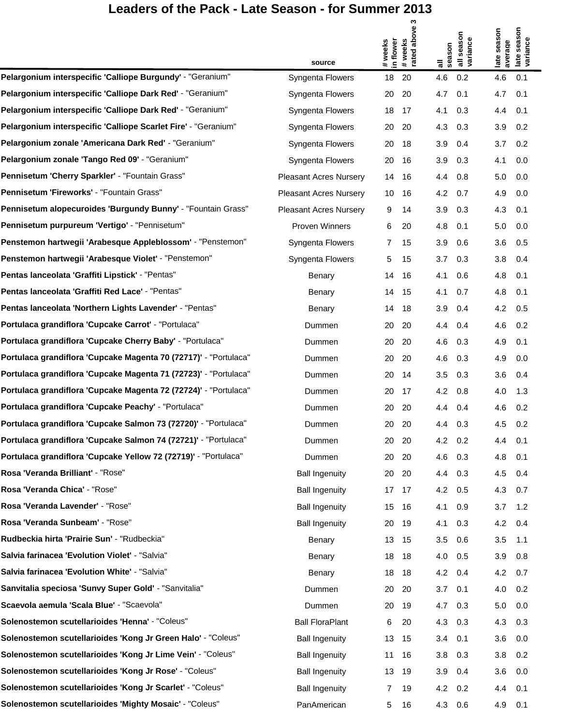$\mathfrak{m}$ 

|                                                                  |                               | ო                                                 |                                                               | န                                                  |
|------------------------------------------------------------------|-------------------------------|---------------------------------------------------|---------------------------------------------------------------|----------------------------------------------------|
|                                                                  | source                        | above<br>in flower<br># weeks<br># weeks<br>rated | all season<br>variance<br>season<br>$\overline{\overline{a}}$ | late season<br>seas<br>variance<br>average<br>late |
| Pelargonium interspecific 'Calliope Burgundy' - "Geranium"       | Syngenta Flowers              | 18<br>20                                          | 4.6<br>0.2                                                    | 4.6<br>0.1                                         |
| Pelargonium interspecific 'Calliope Dark Red' - "Geranium"       | Syngenta Flowers              | 20<br>20                                          | 4.7<br>0.1                                                    | 4.7<br>0.1                                         |
| Pelargonium interspecific 'Calliope Dark Red' - "Geranium"       | Syngenta Flowers              | 18<br>17                                          | 4.1<br>0.3                                                    | 4.4<br>0.1                                         |
| Pelargonium interspecific 'Calliope Scarlet Fire' - "Geranium"   | Syngenta Flowers              | 20<br>20                                          | 4.3<br>0.3                                                    | 3.9<br>0.2                                         |
| Pelargonium zonale 'Americana Dark Red' - "Geranium"             | Syngenta Flowers              | 20<br>18                                          | 3.9<br>0.4                                                    | 3.7<br>0.2                                         |
| Pelargonium zonale 'Tango Red 09' - "Geranium"                   | Syngenta Flowers              | 20<br>16                                          | 3.9<br>0.3                                                    | 4.1<br>0.0                                         |
| Pennisetum 'Cherry Sparkler' - "Fountain Grass"                  | <b>Pleasant Acres Nursery</b> | 14<br>16                                          | 4.4<br>0.8                                                    | 5.0<br>0.0                                         |
| Pennisetum 'Fireworks' - "Fountain Grass"                        | <b>Pleasant Acres Nursery</b> | 10<br>16                                          | 4.2<br>0.7                                                    | 4.9<br>0.0                                         |
| Pennisetum alopecuroides 'Burgundy Bunny' - "Fountain Grass"     | <b>Pleasant Acres Nursery</b> | 9<br>14                                           | 3.9<br>0.3                                                    | 4.3<br>0.1                                         |
| Pennisetum purpureum 'Vertigo' - "Pennisetum"                    | Proven Winners                | 6<br>20                                           | 4.8<br>0.1                                                    | 5.0<br>0.0                                         |
| Penstemon hartwegii 'Arabesque Appleblossom' - "Penstemon"       | Syngenta Flowers              | 7<br>15                                           | 3.9<br>0.6                                                    | 3.6<br>0.5                                         |
| Penstemon hartwegii 'Arabesque Violet' - "Penstemon"             | Syngenta Flowers              | 5<br>15                                           | 3.7<br>0.3                                                    | 3.8<br>0.4                                         |
| Pentas lanceolata 'Graffiti Lipstick' - "Pentas"                 | Benary                        | 14<br>16                                          | 4.1<br>0.6                                                    | 4.8<br>0.1                                         |
| Pentas lanceolata 'Graffiti Red Lace' - "Pentas"                 | Benary                        | 14<br>15                                          | 4.1<br>0.7                                                    | 4.8<br>0.1                                         |
| Pentas lanceolata 'Northern Lights Lavender' - "Pentas"          | Benary                        | 14<br>18                                          | 3.9<br>0.4                                                    | 4.2<br>0.5                                         |
| Portulaca grandiflora 'Cupcake Carrot' - "Portulaca"             | Dummen                        | 20<br>20                                          | 4.4<br>0.4                                                    | 4.6<br>0.2                                         |
| Portulaca grandiflora 'Cupcake Cherry Baby' - "Portulaca"        | Dummen                        | 20<br>20                                          | 4.6<br>0.3                                                    | 4.9<br>0.1                                         |
| Portulaca grandiflora 'Cupcake Magenta 70 (72717)' - "Portulaca" | Dummen                        | 20<br>20                                          | 4.6<br>0.3                                                    | 4.9<br>0.0                                         |
| Portulaca grandiflora 'Cupcake Magenta 71 (72723)' - "Portulaca" | Dummen                        | 20<br>14                                          | 3.5<br>0.3                                                    | 3.6<br>0.4                                         |
| Portulaca grandiflora 'Cupcake Magenta 72 (72724)' - "Portulaca" | Dummen                        | 20<br>17                                          | 4.2<br>0.8                                                    | 4.0<br>1.3                                         |
| Portulaca grandiflora 'Cupcake Peachy' - "Portulaca"             | Dummen                        | 20<br>20                                          | 4.4<br>0.4                                                    | 4.6<br>0.2                                         |
| Portulaca grandiflora 'Cupcake Salmon 73 (72720)' - "Portulaca"  | Dummen                        | 20<br>20                                          | 4.4<br>0.3                                                    | 4.5<br>0.2                                         |
| Portulaca grandiflora 'Cupcake Salmon 74 (72721)' - "Portulaca"  | Dummen                        | 20<br>- 20                                        | 4.2 0.2                                                       | 4.4<br>0.1                                         |
| Portulaca grandiflora 'Cupcake Yellow 72 (72719)' - "Portulaca"  | Dummen                        | 20<br>20                                          | 4.6<br>0.3                                                    | 4.8<br>0.1                                         |
| Rosa 'Veranda Brilliant' - "Rose"                                | <b>Ball Ingenuity</b>         | 20<br>-20                                         | 4.4 0.3                                                       | 4.5<br>0.4                                         |
| Rosa 'Veranda Chica' - "Rose"                                    | <b>Ball Ingenuity</b>         | 17 17                                             | 4.2<br>0.5                                                    | 0.7<br>4.3                                         |
| Rosa 'Veranda Lavender' - "Rose"                                 | <b>Ball Ingenuity</b>         | 15<br>- 16                                        | 4.1<br>0.9                                                    | 3.7<br>1.2                                         |
| Rosa 'Veranda Sunbeam' - "Rose"                                  | <b>Ball Ingenuity</b>         | 20<br>-19                                         | 4.1<br>0.3                                                    | 4.2<br>0.4                                         |
| Rudbeckia hirta 'Prairie Sun' - "Rudbeckia"                      | Benary                        | 13 15                                             | 3.5<br>0.6                                                    | 3.5<br>1.1                                         |
| Salvia farinacea 'Evolution Violet' - "Salvia"                   | Benary                        | 18<br>18                                          | 4.0<br>0.5                                                    | 3.9<br>0.8                                         |
| Salvia farinacea 'Evolution White' - "Salvia"                    | Benary                        | 18 18                                             | 4.2 0.4                                                       | 4.2<br>0.7                                         |
| Sanvitalia speciosa 'Sunvy Super Gold' - "Sanvitalia"            | Dummen                        | 20<br>20                                          | 3.7<br>0.1                                                    | 4.0<br>0.2                                         |
| Scaevola aemula 'Scala Blue' - "Scaevola"                        | Dummen                        | - 19<br>20                                        | 4.7 0.3                                                       | 5.0<br>0.0                                         |
| Solenostemon scutellarioides 'Henna' - "Coleus"                  | <b>Ball FloraPlant</b>        | 20<br>6                                           | 4.3<br>0.3                                                    | 0.3<br>4.3                                         |
| Solenostemon scutellarioides 'Kong Jr Green Halo' - "Coleus"     | <b>Ball Ingenuity</b>         | 13 15                                             | 3.4<br>0.1                                                    | 3.6<br>0.0                                         |
| Solenostemon scutellarioides 'Kong Jr Lime Vein' - "Coleus"      | <b>Ball Ingenuity</b>         | 11<br>- 16                                        | 3.8<br>0.3                                                    | 0.2<br>3.8                                         |
| Solenostemon scutellarioides 'Kong Jr Rose' - "Coleus"           | <b>Ball Ingenuity</b>         | - 19<br>13                                        | 3.9<br>0.4                                                    | 3.6<br>0.0                                         |
| Solenostemon scutellarioides 'Kong Jr Scarlet' - "Coleus"        | <b>Ball Ingenuity</b>         | 7<br>19                                           | 4.2 0.2                                                       | 0.1<br>4.4                                         |
| Solenostemon scutellarioides 'Mighty Mosaic' - "Coleus"          | PanAmerican                   | 16<br>5                                           | 4.3 0.6                                                       | 4.9 0.1                                            |